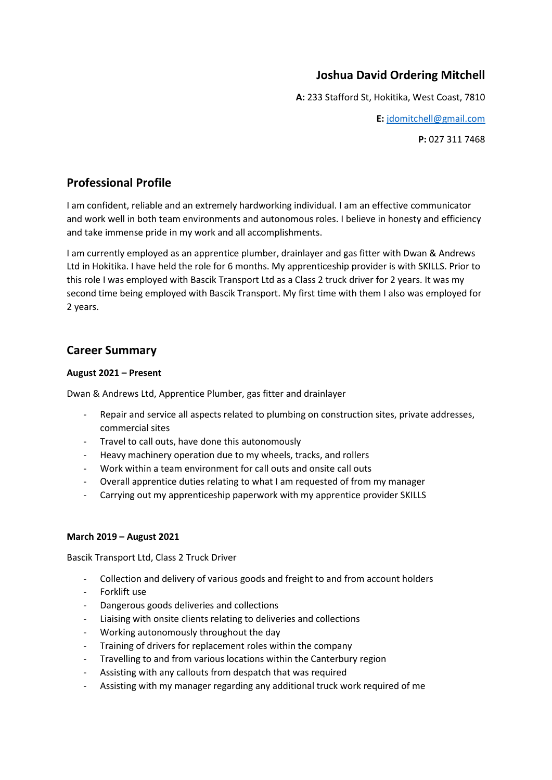## **Joshua David Ordering Mitchell**

**A:** 233 Stafford St, Hokitika, West Coast, 7810

**E:** [jdomitchell@gmail.com](mailto:jdomitchell@gmail.com)

**P:** 027 311 7468

## **Professional Profile**

I am confident, reliable and an extremely hardworking individual. I am an effective communicator and work well in both team environments and autonomous roles. I believe in honesty and efficiency and take immense pride in my work and all accomplishments.

I am currently employed as an apprentice plumber, drainlayer and gas fitter with Dwan & Andrews Ltd in Hokitika. I have held the role for 6 months. My apprenticeship provider is with SKILLS. Prior to this role I was employed with Bascik Transport Ltd as a Class 2 truck driver for 2 years. It was my second time being employed with Bascik Transport. My first time with them I also was employed for 2 years.

### **Career Summary**

#### **August 2021 – Present**

Dwan & Andrews Ltd, Apprentice Plumber, gas fitter and drainlayer

- Repair and service all aspects related to plumbing on construction sites, private addresses, commercial sites
- Travel to call outs, have done this autonomously
- Heavy machinery operation due to my wheels, tracks, and rollers
- Work within a team environment for call outs and onsite call outs
- Overall apprentice duties relating to what I am requested of from my manager
- Carrying out my apprenticeship paperwork with my apprentice provider SKILLS

#### **March 2019 – August 2021**

Bascik Transport Ltd, Class 2 Truck Driver

- Collection and delivery of various goods and freight to and from account holders
- Forklift use
- Dangerous goods deliveries and collections
- Liaising with onsite clients relating to deliveries and collections
- Working autonomously throughout the day
- Training of drivers for replacement roles within the company
- Travelling to and from various locations within the Canterbury region
- Assisting with any callouts from despatch that was required
- Assisting with my manager regarding any additional truck work required of me